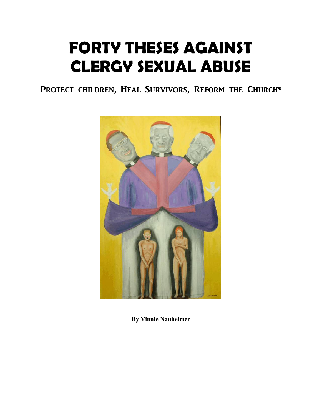## **FORTY THESES AGAINST CLERGY SEXUAL ABUSE**

PROTECT CHILDREN, HEAL SURVIVORS, REFORM THE CHURCH<sup>®</sup>



**By Vinnie Nauheimer**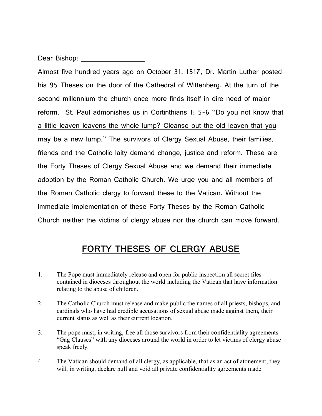Dear Bishop: **We arrive that the set of the set of the set of the set of the set of the set of the set of the set of the set of the set of the set of the set of the set of the set of the set of the set of the set of the se** 

Almost five hundred years ago on October 31, 1517, Dr. Martin Luther posted his 95 Theses on the door of the Cathedral of Wittenberg. At the turn of the second millennium the church once more finds itself in dire need of major reform. St. Paul admonishes us in Cortinthians 1: 5-6 "Do you not know that a little leaven leavens the whole lump? Cleanse out the old leaven that you may be a new lump." The survivors of Clergy Sexual Abuse, their families, friends and the Catholic laity demand change, justice and reform. These are the Forty Theses of Clergy Sexual Abuse and we demand their immediate adoption by the Roman Catholic Church. We urge you and all members of the Roman Catholic clergy to forward these to the Vatican. Without the immediate implementation of these Forty Theses by the Roman Catholic Church neither the victims of clergy abuse nor the church can move forward.

## **FORTY THESES OF CLERGY ABUSE**

- 1. The Pope must immediately release and open for public inspection all secret files contained in dioceses throughout the world including the Vatican that have information relating to the abuse of children.
- 2. The Catholic Church must release and make public the names of all priests, bishops, and cardinals who have had credible accusations of sexual abuse made against them, their current status as well as their current location.
- 3. The pope must, in writing, free all those survivors from their confidentiality agreements "Gag Clauses" with any dioceses around the world in order to let victims of clergy abuse speak freely.
- 4. The Vatican should demand of all clergy, as applicable, that as an act of atonement, they will, in writing, declare null and void all private confidentiality agreements made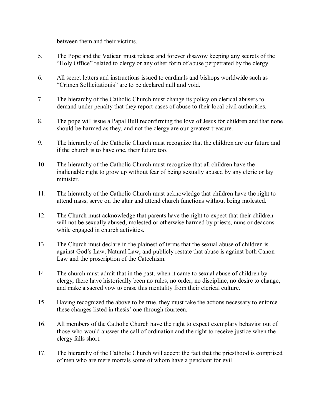between them and their victims.

- 5. The Pope and the Vatican must release and forever disavow keeping any secrets of the "Holy Office" related to clergy or any other form of abuse perpetrated by the clergy.
- 6. All secret letters and instructions issued to cardinals and bishops worldwide such as "Crimen Sollicitationis" are to be declared null and void.
- 7. The hierarchy of the Catholic Church must change its policy on clerical abusers to demand under penalty that they report cases of abuse to their local civil authorities.
- 8. The pope will issue a Papal Bull reconfirming the love of Jesus for children and that none should be harmed as they, and not the clergy are our greatest treasure.
- 9. The hierarchy of the Catholic Church must recognize that the children are our future and if the church is to have one, their future too.
- 10. The hierarchy of the Catholic Church must recognize that all children have the inalienable right to grow up without fear of being sexually abused by any cleric or lay minister.
- 11. The hierarchy of the Catholic Church must acknowledge that children have the right to attend mass, serve on the altar and attend church functions without being molested.
- 12. The Church must acknowledge that parents have the right to expect that their children will not be sexually abused, molested or otherwise harmed by priests, nuns or deacons while engaged in church activities.
- 13. The Church must declare in the plainest of terms that the sexual abuse of children is against God's Law, Natural Law, and publicly restate that abuse is against both Canon Law and the proscription of the Catechism.
- 14. The church must admit that in the past, when it came to sexual abuse of children by clergy, there have historically been no rules, no order, no discipline, no desire to change, and make a sacred vow to erase this mentality from their clerical culture.
- 15. Having recognized the above to be true, they must take the actions necessary to enforce these changes listed in thesis' one through fourteen.
- 16. All members of the Catholic Church have the right to expect exemplary behavior out of those who would answer the call of ordination and the right to receive justice when the clergy falls short.
- 17. The hierarchy of the Catholic Church will accept the fact that the priesthood is comprised of men who are mere mortals some of whom have a penchant for evil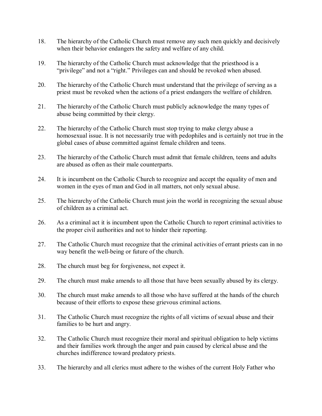- 18. The hierarchy of the Catholic Church must remove any such men quickly and decisively when their behavior endangers the safety and welfare of any child.
- 19. The hierarchy of the Catholic Church must acknowledge that the priesthood is a "privilege" and not a "right." Privileges can and should be revoked when abused.
- 20. The hierarchy of the Catholic Church must understand that the privilege of serving as a priest must be revoked when the actions of a priest endangers the welfare of children.
- 21. The hierarchy of the Catholic Church must publicly acknowledge the many types of abuse being committed by their clergy.
- 22. The hierarchy of the Catholic Church must stop trying to make clergy abuse a homosexual issue. It is not necessarily true with pedophiles and is certainly not true in the global cases of abuse committed against female children and teens.
- 23. The hierarchy of the Catholic Church must admit that female children, teens and adults are abused as often as their male counterparts.
- 24. It is incumbent on the Catholic Church to recognize and accept the equality of men and women in the eyes of man and God in all matters, not only sexual abuse.
- 25. The hierarchy of the Catholic Church must join the world in recognizing the sexual abuse of children as a criminal act.
- 26. As a criminal act it is incumbent upon the Catholic Church to report criminal activities to the proper civil authorities and not to hinder their reporting.
- 27. The Catholic Church must recognize that the criminal activities of errant priests can in no way benefit the well-being or future of the church.
- 28. The church must beg for forgiveness, not expect it.
- 29. The church must make amends to all those that have been sexually abused by its clergy.
- 30. The church must make amends to all those who have suffered at the hands of the church because of their efforts to expose these grievous criminal actions.
- 31. The Catholic Church must recognize the rights of all victims of sexual abuse and their families to be hurt and angry.
- 32. The Catholic Church must recognize their moral and spiritual obligation to help victims and their families work through the anger and pain caused by clerical abuse and the churches indifference toward predatory priests.
- 33. The hierarchy and all clerics must adhere to the wishes of the current Holy Father who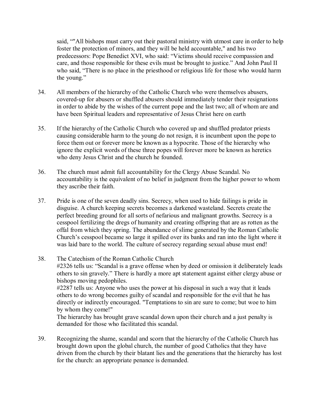said, ""All bishops must carry out their pastoral ministry with utmost care in order to help foster the protection of minors, and they will be held accountable," and his two predecessors: Pope Benedict XVI, who said: "Victims should receive compassion and care, and those responsible for these evils must be brought to justice." And John Paul II who said, "There is no place in the priesthood or religious life for those who would harm the young."

- 34. All members of the hierarchy of the Catholic Church who were themselves abusers, covered-up for abusers or shuffled abusers should immediately tender their resignations in order to abide by the wishes of the current pope and the last two; all of whom are and have been Spiritual leaders and representative of Jesus Christ here on earth
- 35. If the hierarchy of the Catholic Church who covered up and shuffled predator priests causing considerable harm to the young do not resign, it is incumbent upon the pope to force them out or forever more be known as a hypocrite. Those of the hierarchy who ignore the explicit words of these three popes will forever more be known as heretics who deny Jesus Christ and the church he founded.
- 36. The church must admit full accountability for the Clergy Abuse Scandal. No accountability is the equivalent of no belief in judgment from the higher power to whom they ascribe their faith.
- 37. Pride is one of the seven deadly sins. Secrecy, when used to hide failings is pride in disguise. A church keeping secrets becomes a darkened wasteland. Secrets create the perfect breeding ground for all sorts of nefarious and malignant growths. Secrecy is a cesspool fertilizing the dregs of humanity and creating offspring that are as rotten as the offal from which they spring. The abundance of slime generated by the Roman Catholic Church's cesspool became so large it spilled over its banks and ran into the light where it was laid bare to the world. The culture of secrecy regarding sexual abuse must end!
- 38. The Catechism of the Roman Catholic Church #2326 tells us: "Scandal is a grave offense when by deed or omission it deliberately leads others to sin gravely." There is hardly a more apt statement against either clergy abuse or bishops moving pedophiles. #2287 tells us: Anyone who uses the power at his disposal in such a way that it leads others to do wrong becomes guilty of scandal and responsible for the evil that he has directly or indirectly encouraged. "Temptations to sin are sure to come; but woe to him by whom they come!" The hierarchy has brought grave scandal down upon their church and a just penalty is
	- demanded for those who facilitated this scandal.
- 39. Recognizing the shame, scandal and scorn that the hierarchy of the Catholic Church has brought down upon the global church, the number of good Catholics that they have driven from the church by their blatant lies and the generations that the hierarchy has lost for the church: an appropriate penance is demanded.